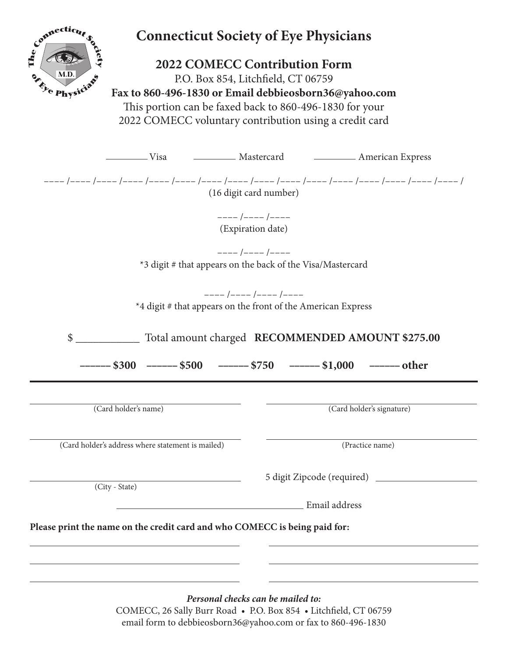| Connecticut                                       | <b>Connecticut Society of Eye Physicians</b><br><b>2022 COMECC Contribution Form</b><br>P.O. Box 854, Litchfield, CT 06759<br>Fax to 860-496-1830 or Email debbieosborn36@yahoo.com<br>This portion can be faxed back to 860-496-1830 for your<br>2022 COMECC voluntary contribution using a credit card |                                                                                                                                  |
|---------------------------------------------------|----------------------------------------------------------------------------------------------------------------------------------------------------------------------------------------------------------------------------------------------------------------------------------------------------------|----------------------------------------------------------------------------------------------------------------------------------|
| orety<br>The.<br>Physicians                       |                                                                                                                                                                                                                                                                                                          |                                                                                                                                  |
|                                                   |                                                                                                                                                                                                                                                                                                          | Visa Charles Mastercard Charles American Express                                                                                 |
|                                                   |                                                                                                                                                                                                                                                                                                          | (16 digit card number)                                                                                                           |
|                                                   |                                                                                                                                                                                                                                                                                                          | $--- / --- / ---$<br>(Expiration date)                                                                                           |
|                                                   |                                                                                                                                                                                                                                                                                                          |                                                                                                                                  |
|                                                   |                                                                                                                                                                                                                                                                                                          | $--- / --- / ---$                                                                                                                |
|                                                   |                                                                                                                                                                                                                                                                                                          | *3 digit # that appears on the back of the Visa/Mastercard                                                                       |
|                                                   |                                                                                                                                                                                                                                                                                                          |                                                                                                                                  |
|                                                   |                                                                                                                                                                                                                                                                                                          | $--- / --- / --- / --- / ---$<br>*4 digit # that appears on the front of the American Express                                    |
|                                                   |                                                                                                                                                                                                                                                                                                          |                                                                                                                                  |
| \$                                                |                                                                                                                                                                                                                                                                                                          | Total amount charged RECOMMENDED AMOUNT \$275.00<br>---- \$300   ------ \$500    ------ \$750     ------ \$1,000    ------ other |
| (Card holder's name)                              |                                                                                                                                                                                                                                                                                                          | (Card holder's signature)                                                                                                        |
|                                                   |                                                                                                                                                                                                                                                                                                          |                                                                                                                                  |
| (Card holder's address where statement is mailed) |                                                                                                                                                                                                                                                                                                          | (Practice name)                                                                                                                  |
| (City - State)                                    |                                                                                                                                                                                                                                                                                                          |                                                                                                                                  |
|                                                   | <u> 1980 - Johann Barbara, martin da basar a shekara 1980 - An tsara 1980 - An tsara 1980 - An tsara 1980 - An ts</u>                                                                                                                                                                                    | Email address                                                                                                                    |
|                                                   |                                                                                                                                                                                                                                                                                                          |                                                                                                                                  |
|                                                   | Please print the name on the credit card and who COMECC is being paid for:                                                                                                                                                                                                                               |                                                                                                                                  |
|                                                   |                                                                                                                                                                                                                                                                                                          |                                                                                                                                  |
|                                                   | the control of the control of the control of the control of the control of the control of                                                                                                                                                                                                                |                                                                                                                                  |
|                                                   |                                                                                                                                                                                                                                                                                                          |                                                                                                                                  |
|                                                   |                                                                                                                                                                                                                                                                                                          | Personal checks can be mailed to:                                                                                                |

COMECC, 26 Sally Burr Road • P.O. Box 854 • Litchfield, CT 06759 email form to debbieosborn36@yahoo.com or fax to 860-496-1830